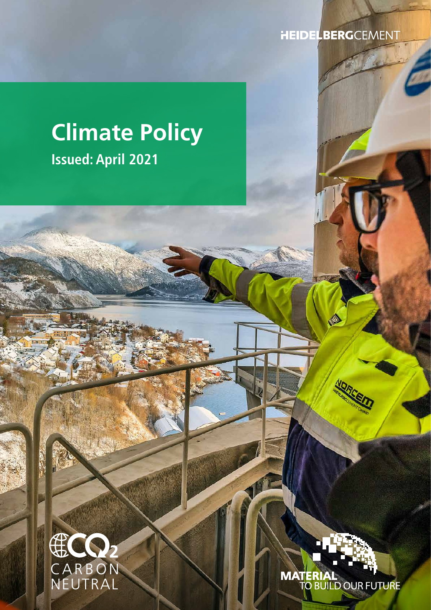**HEIDELBERG**CEMENT

# **Climate Policy Issued: April 2021**



**MATERIAL**<br>TO BUILD OUR FUTURE

Ó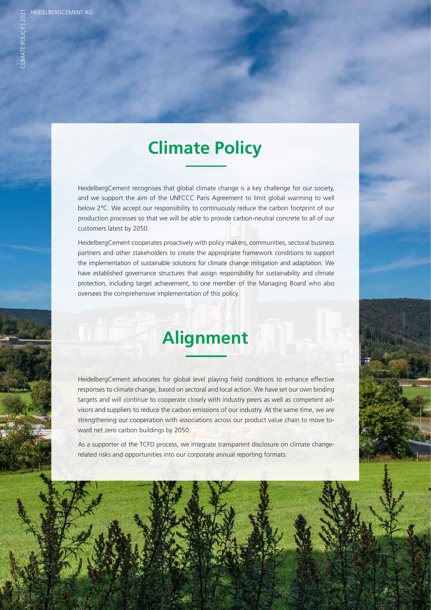### **Climate Policy**

HeidelbergCement recognises that global climate change is a key challenge for our society, and we support the aim of the UNFCCC Paris Agreement to limit global warming to well below 2°C. We accept our responsibility to continuously reduce the carbon footprint of our production processes so that we will be able to provide carbon-neutral concrete to all of our customers latest by 2050.

HeidelbergCement cooperates proactively with policy makers, communities, sectoral business partners and other stakeholders to create the appropriate framework conditions to support the implementation of sustainable solutions for climate change mitigation and adaptation. We have established governance structures that assign responsibility for sustainability and climate protection, including target achievement, to one member of the Managing Board who also oversees the comprehensive implementation of this policy.

## **Alignment**

HeidelbergCement advocates for global level playing field conditions to enhance effective responses to climate change, based on sectoral and local action. We have set our own binding targets and will continue to cooperate closely with industry peers as well as competent advisors and suppliers to reduce the carbon emissions of our industry. At the same time, we are strengthening our cooperation with associations across our product value chain to move toward net zero carbon buildings by 2050.

As a supporter of the TCFD process, we integrate transparent disclosure on climate changerelated risks and opportunities into our corporate annual reporting formats.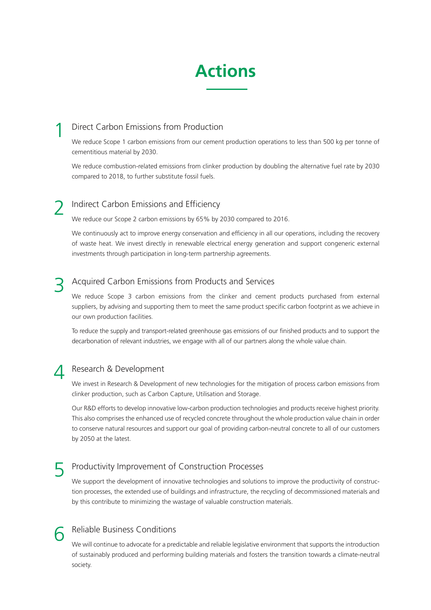### **Actions**

#### Direct Carbon Emissions from Production 1

We reduce Scope 1 carbon emissions from our cement production operations to less than 500 kg per tonne of cementitious material by 2030.

We reduce combustion-related emissions from clinker production by doubling the alternative fuel rate by 2030 compared to 2018, to further substitute fossil fuels.

#### Indirect Carbon Emissions and Efficiency 2

We reduce our Scope 2 carbon emissions by 65% by 2030 compared to 2016.

We continuously act to improve energy conservation and efficiency in all our operations, including the recovery of waste heat. We invest directly in renewable electrical energy generation and support congeneric external investments through participation in long-term partnership agreements.

#### Acquired Carbon Emissions from Products and Services 3

We reduce Scope 3 carbon emissions from the clinker and cement products purchased from external suppliers, by advising and supporting them to meet the same product specific carbon footprint as we achieve in our own production facilities.

To reduce the supply and transport-related greenhouse gas emissions of our finished products and to support the decarbonation of relevant industries, we engage with all of our partners along the whole value chain.

#### Research & Development 4

We invest in Research & Development of new technologies for the mitigation of process carbon emissions from clinker production, such as Carbon Capture, Utilisation and Storage.

Our R&D efforts to develop innovative low-carbon production technologies and products receive highest priority. This also comprises the enhanced use of recycled concrete throughout the whole production value chain in order to conserve natural resources and support our goal of providing carbon-neutral concrete to all of our customers by 2050 at the latest.

#### Productivity Improvement of Construction Processes 5

We support the development of innovative technologies and solutions to improve the productivity of construction processes, the extended use of buildings and infrastructure, the recycling of decommissioned materials and by this contribute to minimizing the wastage of valuable construction materials.

#### Reliable Business Conditions 6

We will continue to advocate for a predictable and reliable legislative environment that supports the introduction of sustainably produced and performing building materials and fosters the transition towards a climate-neutral society.